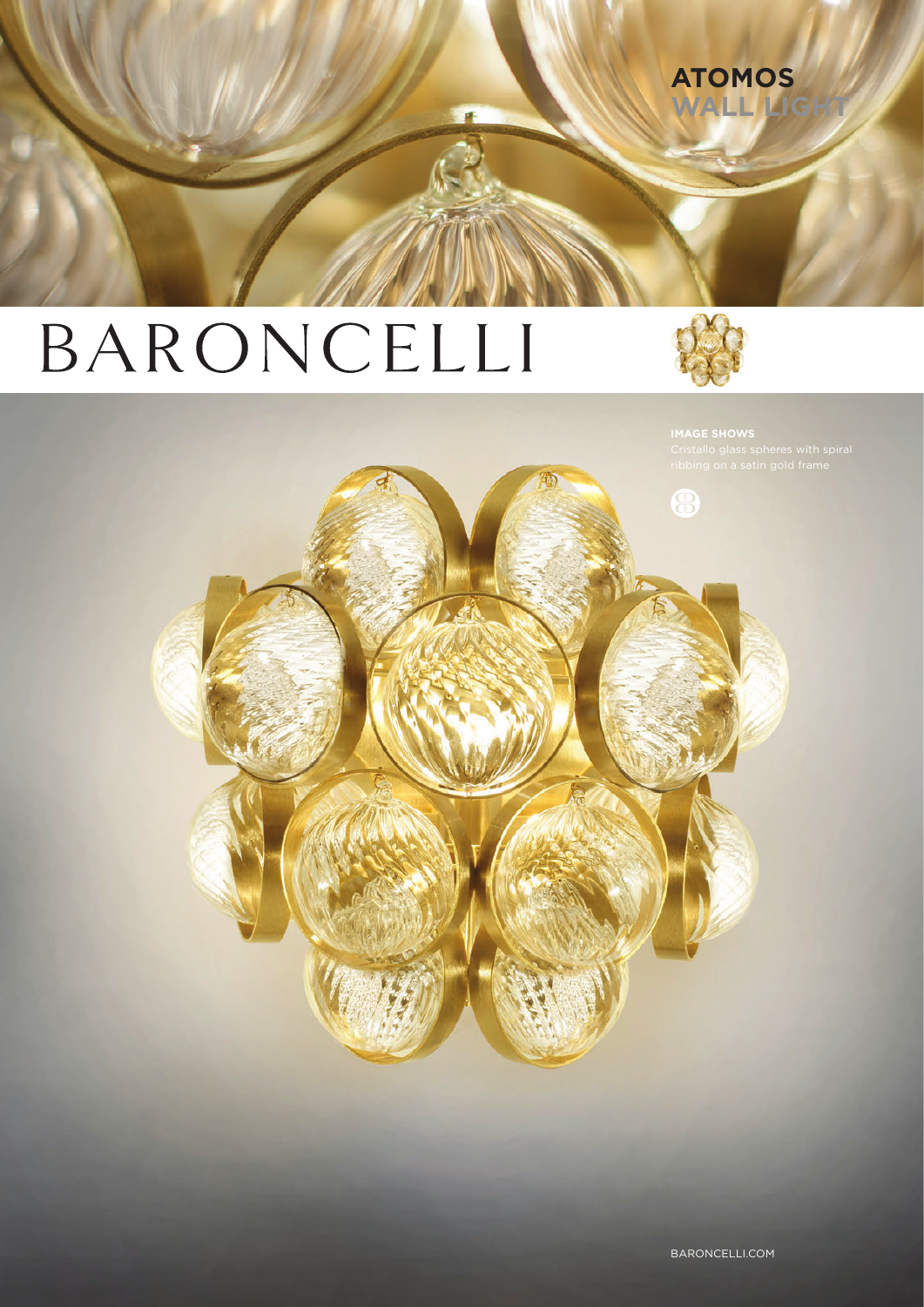# BARONCELLI



**ATOMOS** WALL L